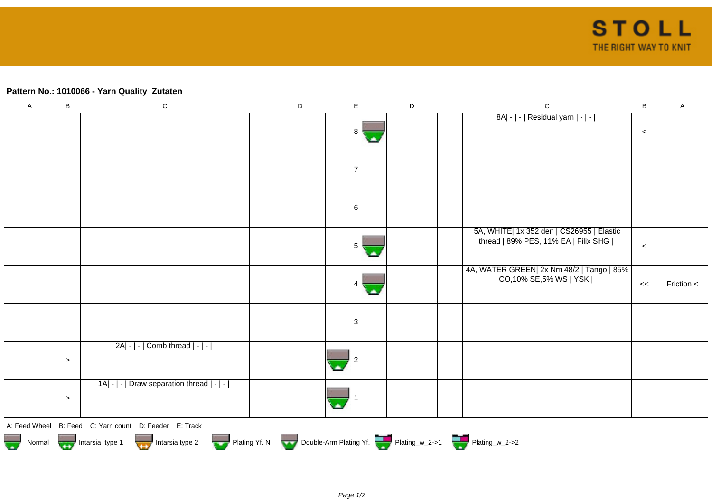## **Pattern No.: 1010066 - Yarn Quality Zutaten**

| $\mathsf A$ | B     | ${\bf C}$                                                                                                                                                           | D | $\mathsf E$ | $\mathsf D$ | $\mathbf C$                                                                       | $\sf{B}$ | $\mathsf A$ |
|-------------|-------|---------------------------------------------------------------------------------------------------------------------------------------------------------------------|---|-------------|-------------|-----------------------------------------------------------------------------------|----------|-------------|
|             |       |                                                                                                                                                                     |   | 8           |             | 8A  -   -   Residual yarn   -   -                                                 | $\,<$    |             |
|             |       |                                                                                                                                                                     |   |             |             |                                                                                   |          |             |
|             |       |                                                                                                                                                                     |   | 6           |             |                                                                                   |          |             |
|             |       |                                                                                                                                                                     |   | 5           |             | 5A, WHITE  1x 352 den   CS26955   Elastic<br>thread   89% PES, 11% EA   Filix SHG | $\,<$    |             |
|             |       |                                                                                                                                                                     |   | 4           |             | 4A, WATER GREEN  2x Nm 48/2   Tango   85%<br>CO,10% SE,5% WS   YSK                | <<       | Friction <  |
|             |       |                                                                                                                                                                     |   | 3           |             |                                                                                   |          |             |
|             | $\,>$ | 2A  -   -   Comb thread   -   -                                                                                                                                     |   |             |             |                                                                                   |          |             |
|             | $\,>$ | 1A  -   -   Draw separation thread   -   -                                                                                                                          |   |             |             |                                                                                   |          |             |
|             |       | A: Feed Wheel B: Feed C: Yarn count D: Feeder E: Track<br>Normal Intarsia type 1 Intarsia type 2 Plating Yf. N Double-Arm Plating Yf. Plating_w_2->1 Plating_w_2->2 |   |             |             |                                                                                   |          |             |